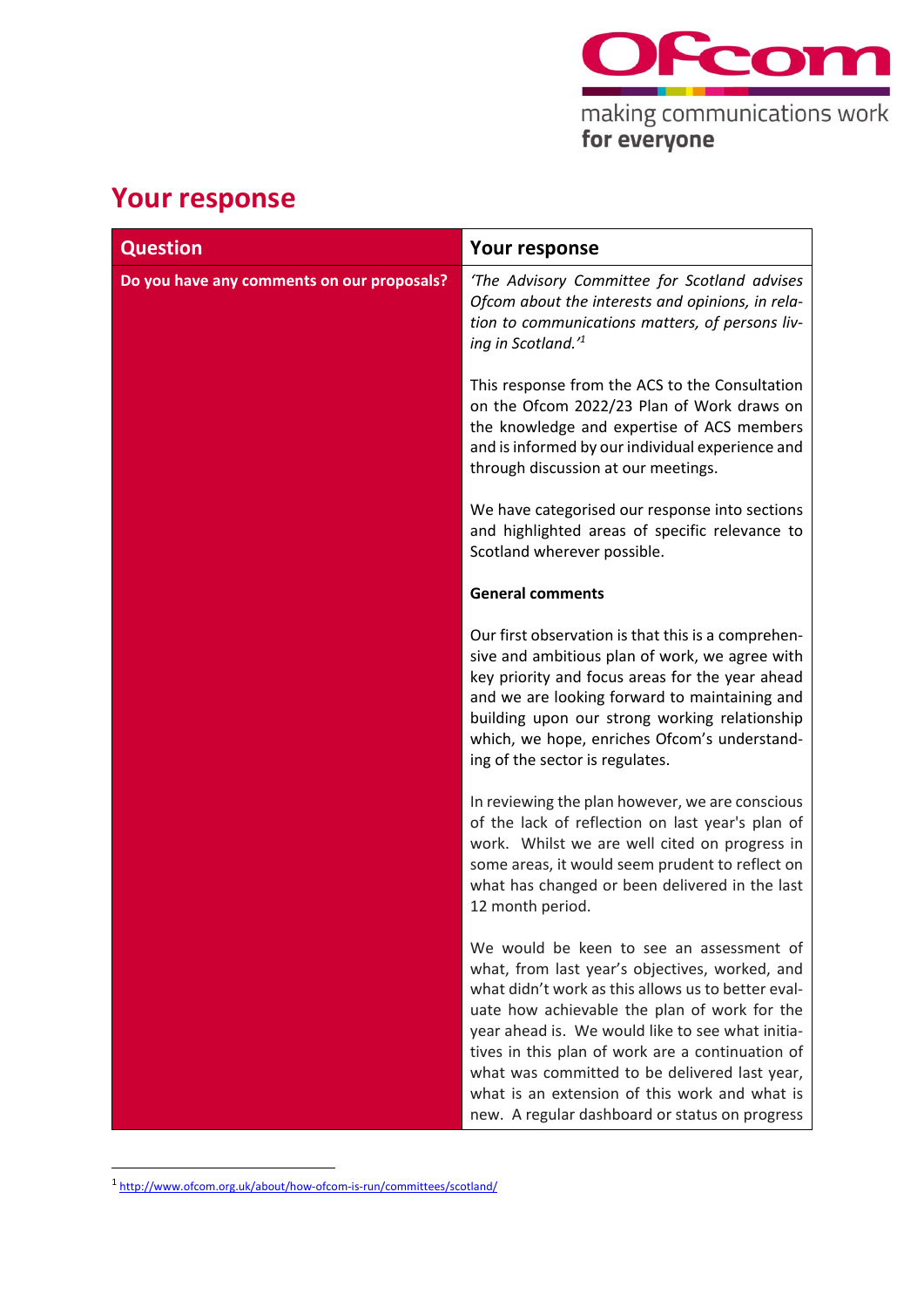

## **Your response**

| <b>Question</b>                            | <b>Your response</b>                                                                                                                                                                                                                                                                                                                                                                                                                                         |
|--------------------------------------------|--------------------------------------------------------------------------------------------------------------------------------------------------------------------------------------------------------------------------------------------------------------------------------------------------------------------------------------------------------------------------------------------------------------------------------------------------------------|
| Do you have any comments on our proposals? | 'The Advisory Committee for Scotland advises<br>Ofcom about the interests and opinions, in rela-<br>tion to communications matters, of persons liv-<br>ing in Scotland.' <sup>1</sup>                                                                                                                                                                                                                                                                        |
|                                            | This response from the ACS to the Consultation<br>on the Ofcom 2022/23 Plan of Work draws on<br>the knowledge and expertise of ACS members<br>and is informed by our individual experience and<br>through discussion at our meetings.                                                                                                                                                                                                                        |
|                                            | We have categorised our response into sections<br>and highlighted areas of specific relevance to<br>Scotland wherever possible.                                                                                                                                                                                                                                                                                                                              |
|                                            | <b>General comments</b>                                                                                                                                                                                                                                                                                                                                                                                                                                      |
|                                            | Our first observation is that this is a comprehen-<br>sive and ambitious plan of work, we agree with<br>key priority and focus areas for the year ahead<br>and we are looking forward to maintaining and<br>building upon our strong working relationship<br>which, we hope, enriches Ofcom's understand-<br>ing of the sector is regulates.                                                                                                                 |
|                                            | In reviewing the plan however, we are conscious<br>of the lack of reflection on last year's plan of<br>work. Whilst we are well cited on progress in<br>some areas, it would seem prudent to reflect on<br>what has changed or been delivered in the last<br>12 month period.                                                                                                                                                                                |
|                                            | We would be keen to see an assessment of<br>what, from last year's objectives, worked, and<br>what didn't work as this allows us to better eval-<br>uate how achievable the plan of work for the<br>year ahead is. We would like to see what initia-<br>tives in this plan of work are a continuation of<br>what was committed to be delivered last year,<br>what is an extension of this work and what is<br>new. A regular dashboard or status on progress |

<sup>1</sup> <http://www.ofcom.org.uk/about/how-ofcom-is-run/committees/scotland/>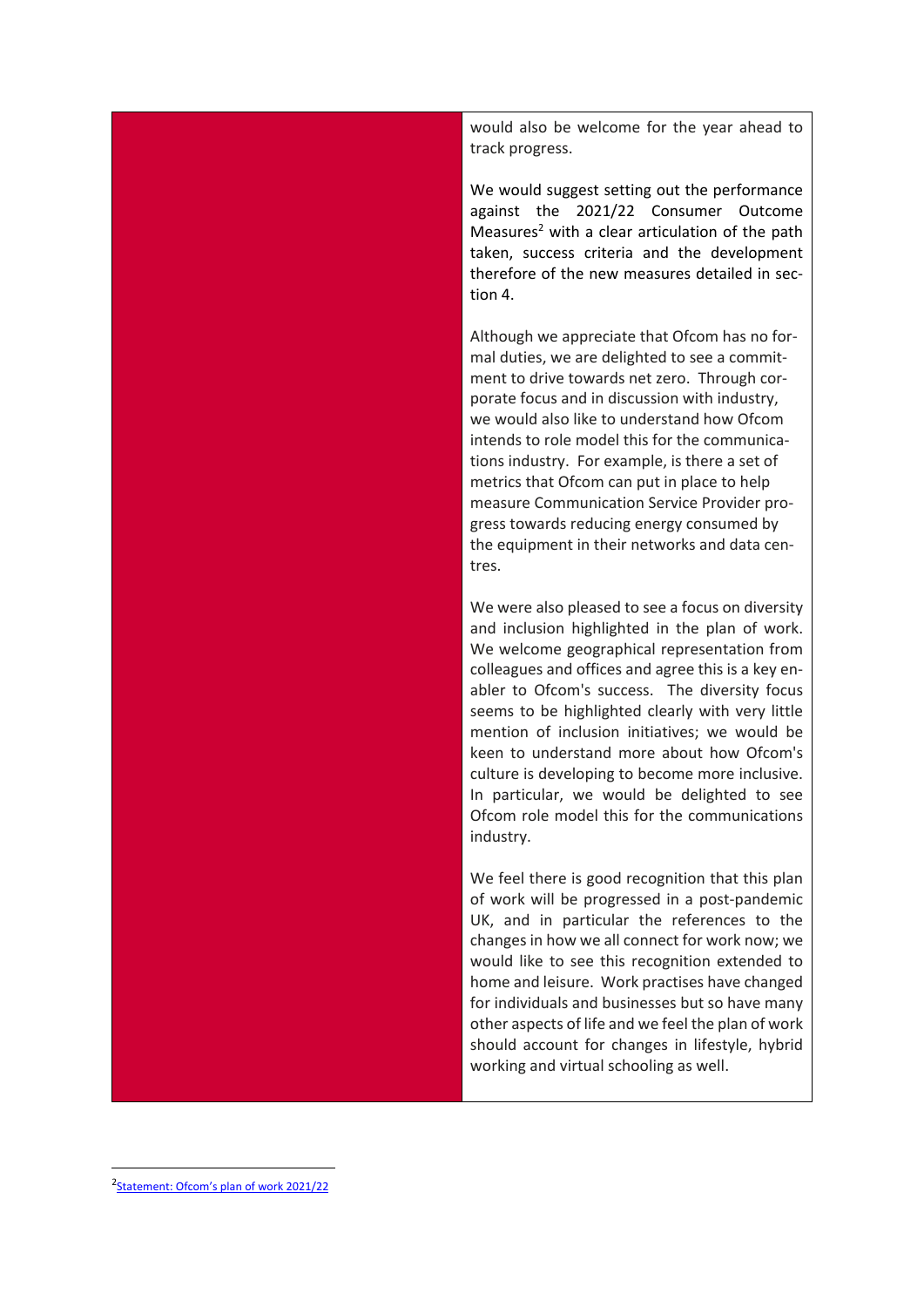would also be welcome for the year ahead to track progress.

We would suggest setting out the performance against the 2021/22 Consumer Outcome Measures<sup>2</sup> with a clear articulation of the path taken, success criteria and the development therefore of the new measures detailed in section 4.

Although we appreciate that Ofcom has no formal duties, we are delighted to see a commitment to drive towards net zero. Through corporate focus and in discussion with industry, we would also like to understand how Ofcom intends to role model this for the communications industry. For example, is there a set of metrics that Ofcom can put in place to help measure Communication Service Provider progress towards reducing energy consumed by the equipment in their networks and data centres.

We were also pleased to see a focus on diversity and inclusion highlighted in the plan of work. We welcome geographical representation from colleagues and offices and agree this is a key enabler to Ofcom's success. The diversity focus seems to be highlighted clearly with very little mention of inclusion initiatives; we would be keen to understand more about how Ofcom's culture is developing to become more inclusive. In particular, we would be delighted to see Ofcom role model this for the communications industry.

We feel there is good recognition that this plan of work will be progressed in a post-pandemic UK, and in particular the references to the changes in how we all connect for work now; we would like to see this recognition extended to home and leisure. Work practises have changed for individuals and businesses but so have many other aspects of life and we feel the plan of work should account for changes in lifestyle, hybrid working and virtual schooling as well.

<sup>&</sup>lt;sup>2</sup>[Statement: Ofcom's plan of work 2021/22](https://www.ofcom.org.uk/__data/assets/pdf_file/0019/216640/statement-plan-of-work-202122.pdf)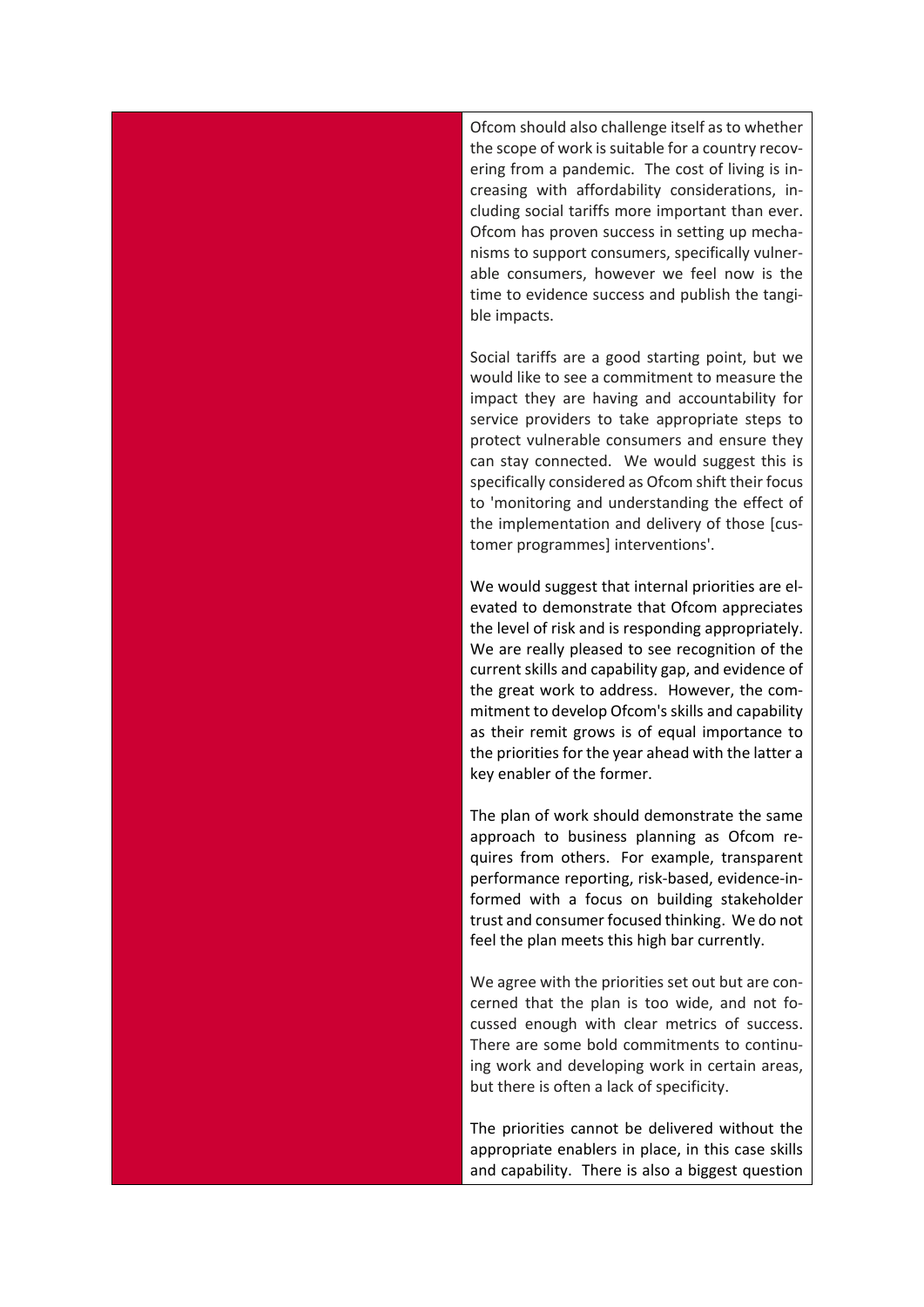Ofcom should also challenge itself as to whether the scope of work is suitable for a country recovering from a pandemic. The cost of living is increasing with affordability considerations, including social tariffs more important than ever. Ofcom has proven success in setting up mechanisms to support consumers, specifically vulnerable consumers, however we feel now is the time to evidence success and publish the tangible impacts.

Social tariffs are a good starting point, but we would like to see a commitment to measure the impact they are having and accountability for service providers to take appropriate steps to protect vulnerable consumers and ensure they can stay connected. We would suggest this is specifically considered as Ofcom shift their focus to 'monitoring and understanding the effect of the implementation and delivery of those [customer programmes] interventions'.

We would suggest that internal priorities are elevated to demonstrate that Ofcom appreciates the level of risk and is responding appropriately. We are really pleased to see recognition of the current skills and capability gap, and evidence of the great work to address. However, the commitment to develop Ofcom's skills and capability as their remit grows is of equal importance to the priorities for the year ahead with the latter a key enabler of the former.

The plan of work should demonstrate the same approach to business planning as Ofcom requires from others. For example, transparent performance reporting, risk-based, evidence-informed with a focus on building stakeholder trust and consumer focused thinking. We do not feel the plan meets this high bar currently.

We agree with the priorities set out but are concerned that the plan is too wide, and not focussed enough with clear metrics of success. There are some bold commitments to continuing work and developing work in certain areas, but there is often a lack of specificity.

The priorities cannot be delivered without the appropriate enablers in place, in this case skills and capability. There is also a biggest question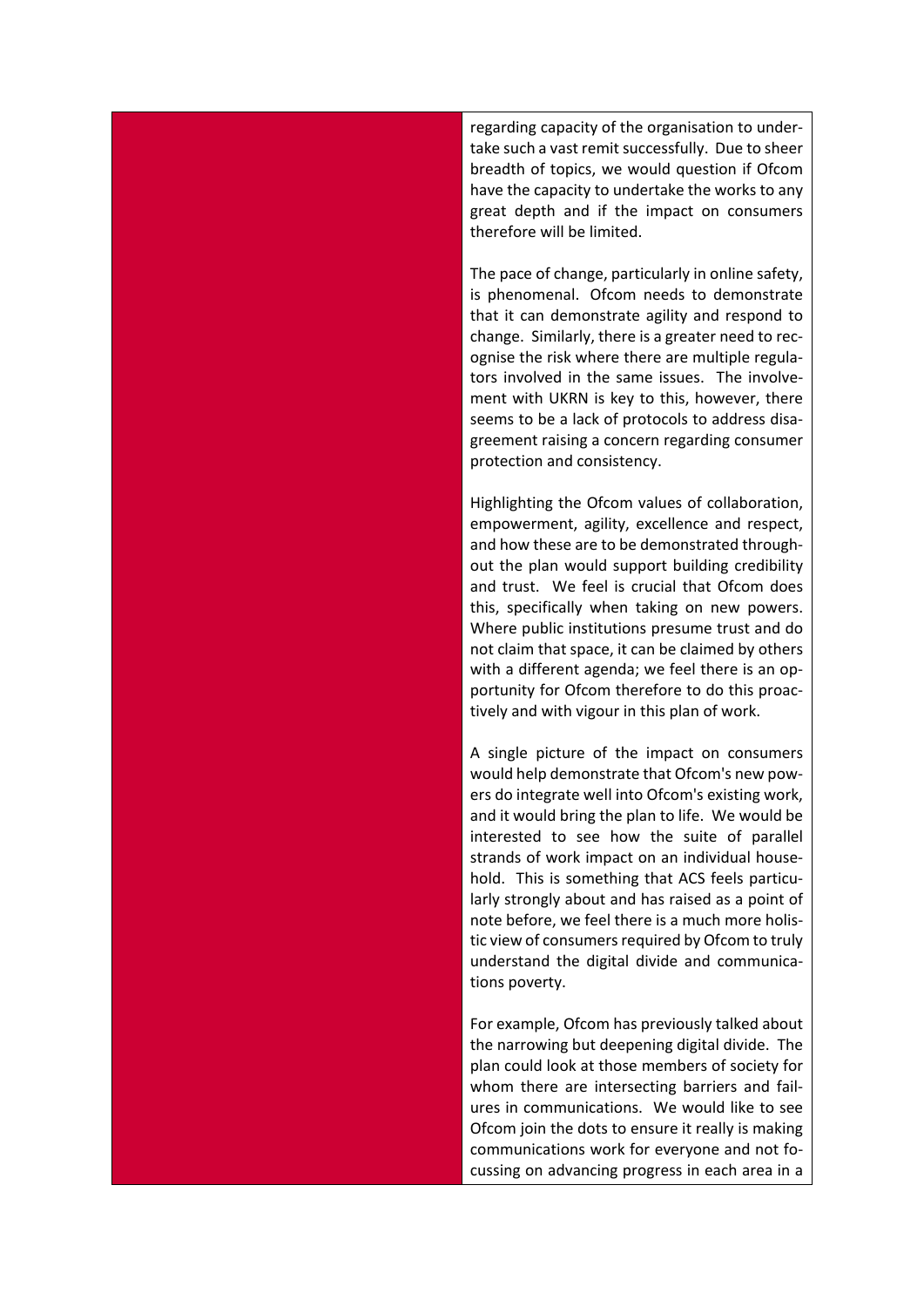regarding capacity of the organisation to undertake such a vast remit successfully. Due to sheer breadth of topics, we would question if Ofcom have the capacity to undertake the works to any great depth and if the impact on consumers therefore will be limited.

The pace of change, particularly in online safety, is phenomenal. Ofcom needs to demonstrate that it can demonstrate agility and respond to change. Similarly, there is a greater need to recognise the risk where there are multiple regulators involved in the same issues. The involvement with UKRN is key to this, however, there seems to be a lack of protocols to address disagreement raising a concern regarding consumer protection and consistency.

Highlighting the Ofcom values of collaboration, empowerment, agility, excellence and respect, and how these are to be demonstrated throughout the plan would support building credibility and trust. We feel is crucial that Ofcom does this, specifically when taking on new powers. Where public institutions presume trust and do not claim that space, it can be claimed by others with a different agenda; we feel there is an opportunity for Ofcom therefore to do this proactively and with vigour in this plan of work.

A single picture of the impact on consumers would help demonstrate that Ofcom's new powers do integrate well into Ofcom's existing work, and it would bring the plan to life. We would be interested to see how the suite of parallel strands of work impact on an individual household. This is something that ACS feels particularly strongly about and has raised as a point of note before, we feel there is a much more holistic view of consumers required by Ofcom to truly understand the digital divide and communications poverty.

For example, Ofcom has previously talked about the narrowing but deepening digital divide. The plan could look at those members of society for whom there are intersecting barriers and failures in communications. We would like to see Ofcom join the dots to ensure it really is making communications work for everyone and not focussing on advancing progress in each area in a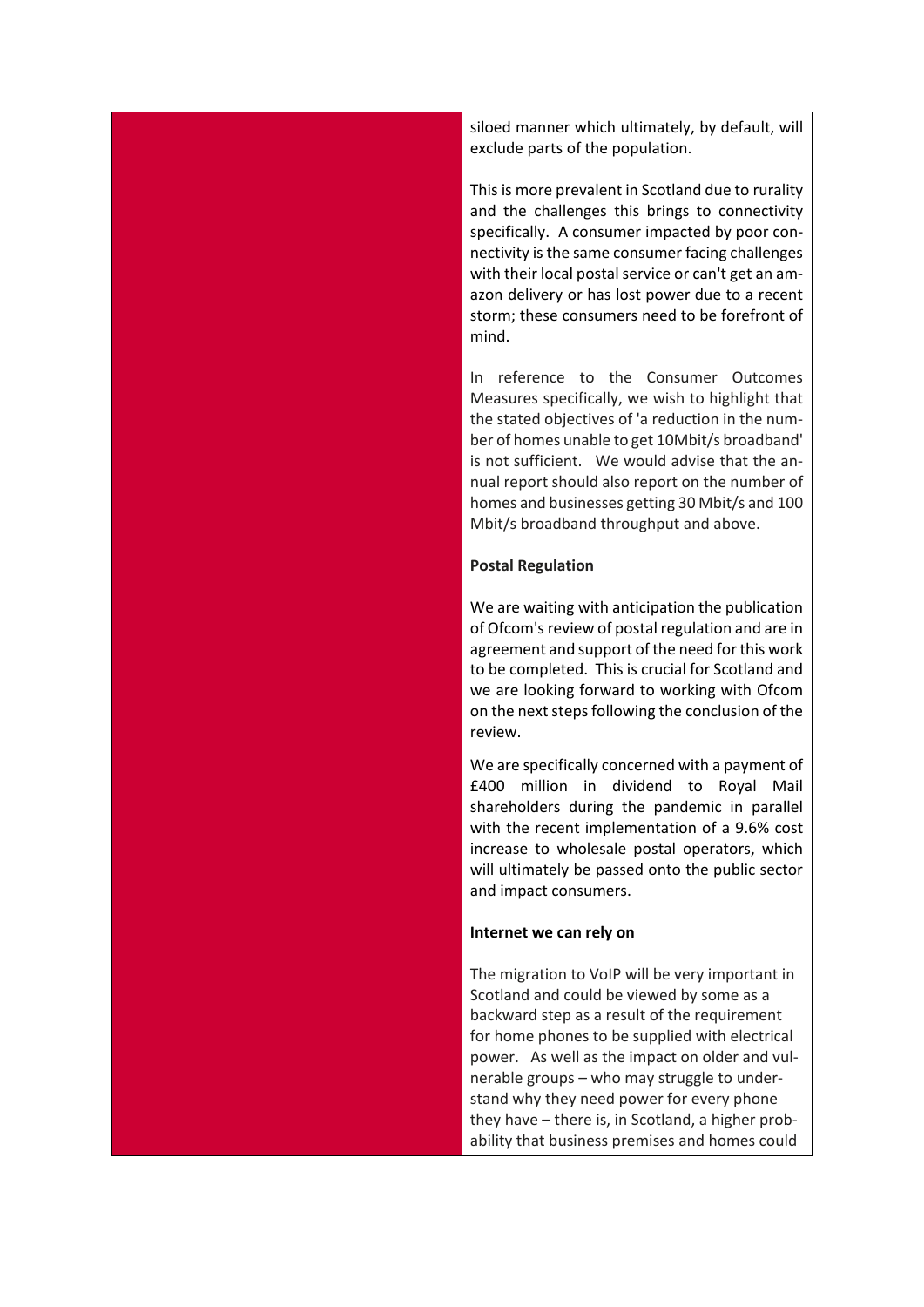siloed manner which ultimately, by default, will exclude parts of the population.

This is more prevalent in Scotland due to rurality and the challenges this brings to connectivity specifically. A consumer impacted by poor connectivity is the same consumer facing challenges with their local postal service or can't get an amazon delivery or has lost power due to a recent storm; these consumers need to be forefront of mind.

In reference to the Consumer Outcomes Measures specifically, we wish to highlight that the stated objectives of 'a reduction in the number of homes unable to get 10Mbit/s broadband' is not sufficient. We would advise that the annual report should also report on the number of homes and businesses getting 30 Mbit/s and 100 Mbit/s broadband throughput and above.

## **Postal Regulation**

We are waiting with anticipation the publication of Ofcom's review of postal regulation and are in agreement and support of the need for this work to be completed. This is crucial for Scotland and we are looking forward to working with Ofcom on the next steps following the conclusion of the review.

We are specifically concerned with a payment of £400 million in dividend to Royal Mail shareholders during the pandemic in parallel with the recent implementation of a 9.6% cost increase to wholesale postal operators, which will ultimately be passed onto the public sector and impact consumers.

## **Internet we can rely on**

The migration to VoIP will be very important in Scotland and could be viewed by some as a backward step as a result of the requirement for home phones to be supplied with electrical power. As well as the impact on older and vulnerable groups – who may struggle to understand why they need power for every phone they have – there is, in Scotland, a higher probability that business premises and homes could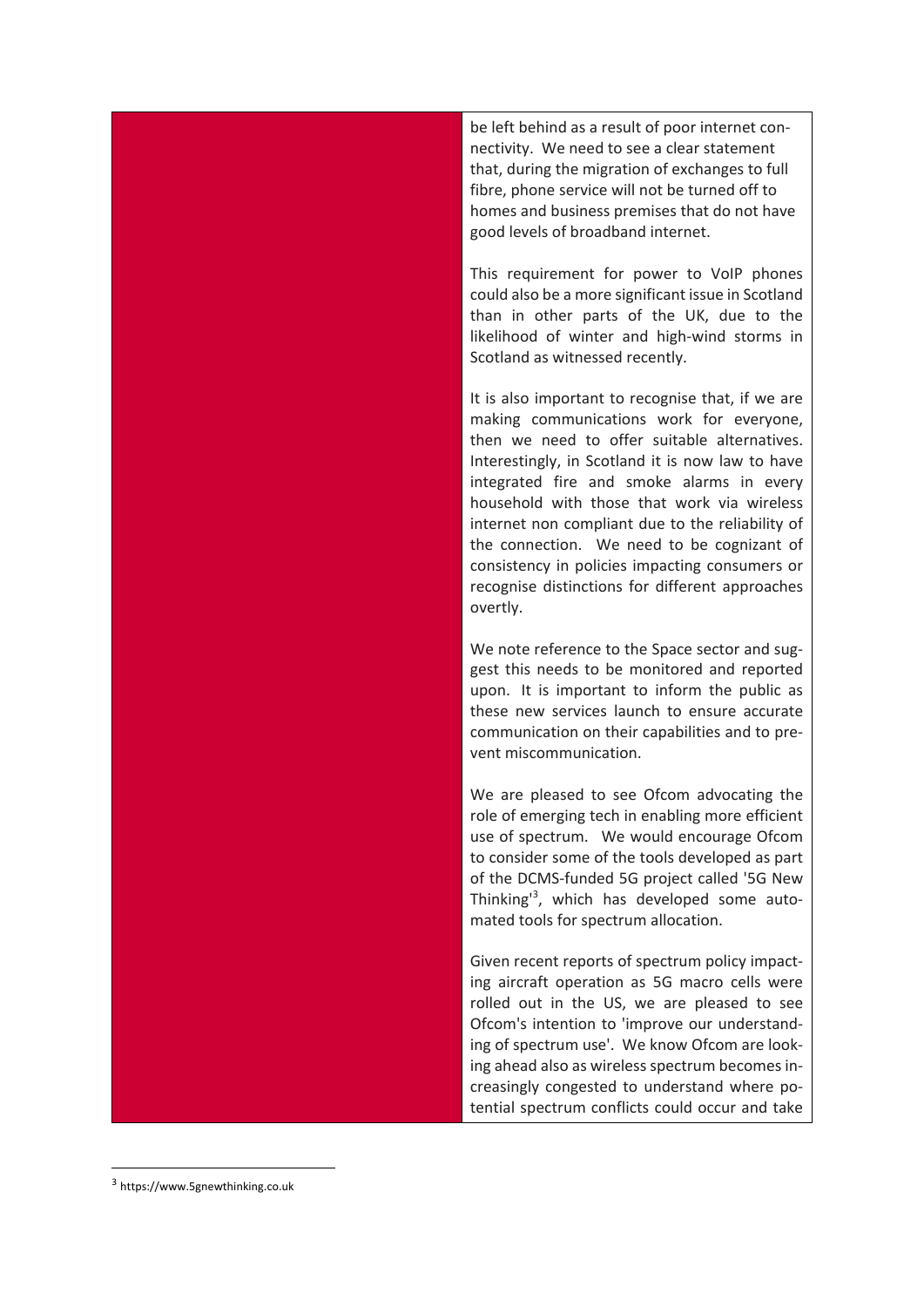be left behind as a result of poor internet connectivity. We need to see a clear statement that, during the migration of exchanges to full fibre, phone service will not be turned off to homes and business premises that do not have good levels of broadband internet.

This requirement for power to VoIP phones could also be a more significant issue in Scotland than in other parts of the UK, due to the likelihood of winter and high-wind storms in Scotland as witnessed recently.

It is also important to recognise that, if we are making communications work for everyone, then we need to offer suitable alternatives. Interestingly, in Scotland it is now law to have integrated fire and smoke alarms in every household with those that work via wireless internet non compliant due to the reliability of the connection. We need to be cognizant of consistency in policies impacting consumers or recognise distinctions for different approaches overtly.

We note reference to the Space sector and suggest this needs to be monitored and reported upon. It is important to inform the public as these new services launch to ensure accurate communication on their capabilities and to prevent miscommunication.

We are pleased to see Ofcom advocating the role of emerging tech in enabling more efficient use of spectrum. We would encourage Ofcom to consider some of the tools developed as part of the DCMS-funded 5G project called '5G New Thinking'3 , which has developed some automated tools for spectrum allocation.

Given recent reports of spectrum policy impacting aircraft operation as 5G macro cells were rolled out in the US, we are pleased to see Ofcom's intention to 'improve our understanding of spectrum use'. We know Ofcom are looking ahead also as wireless spectrum becomes increasingly congested to understand where potential spectrum conflicts could occur and take

<sup>3</sup> https://www.5gnewthinking.co.uk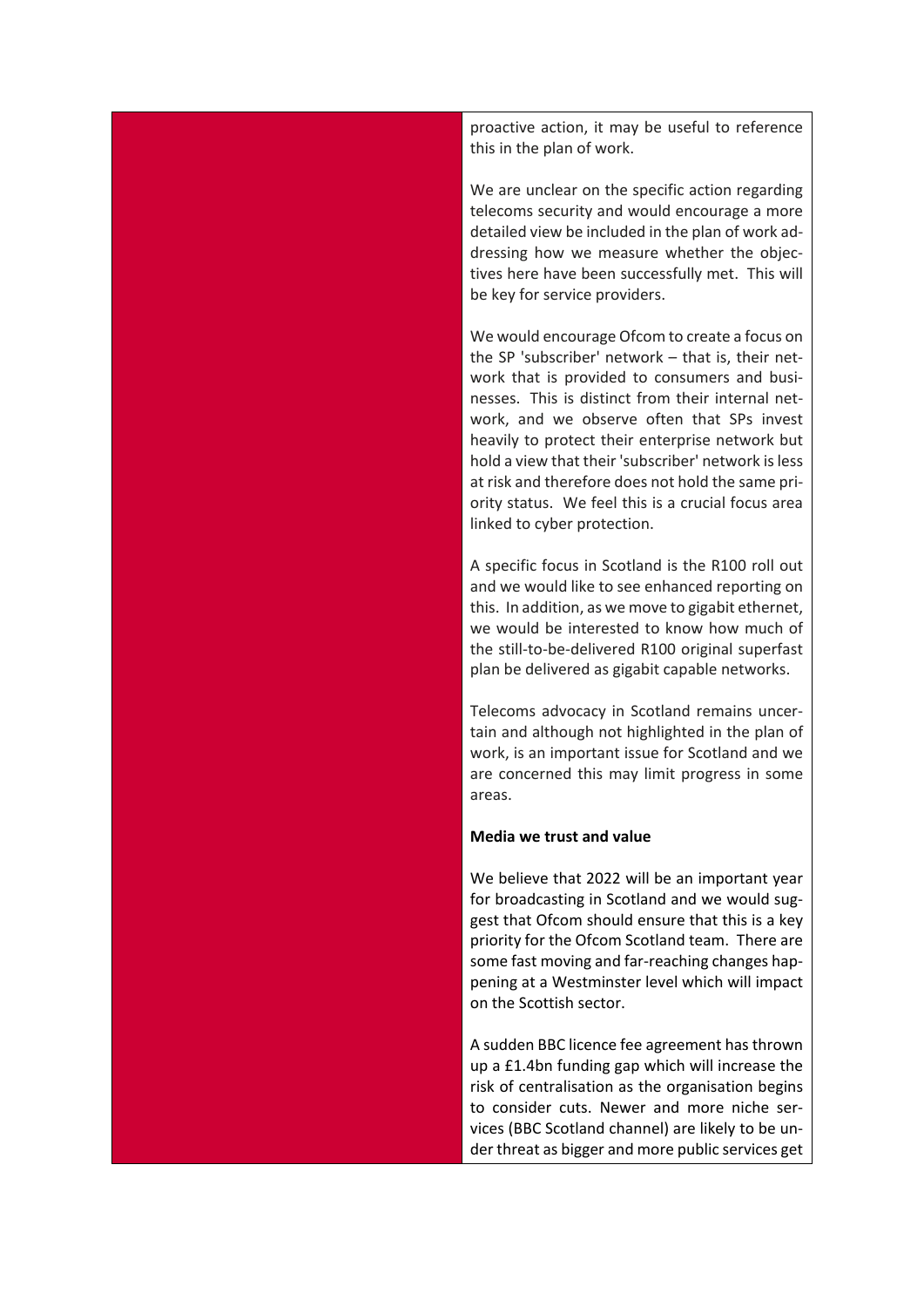proactive action, it may be useful to reference this in the plan of work.

We are unclear on the specific action regarding telecoms security and would encourage a more detailed view be included in the plan of work addressing how we measure whether the objectives here have been successfully met. This will be key for service providers.

We would encourage Ofcom to create a focus on the SP 'subscriber' network – that is, their network that is provided to consumers and businesses. This is distinct from their internal network, and we observe often that SPs invest heavily to protect their enterprise network but hold a view that their 'subscriber' network is less at risk and therefore does not hold the same priority status. We feel this is a crucial focus area linked to cyber protection.

A specific focus in Scotland is the R100 roll out and we would like to see enhanced reporting on this. In addition, as we move to gigabit ethernet, we would be interested to know how much of the still-to-be-delivered R100 original superfast plan be delivered as gigabit capable networks.

Telecoms advocacy in Scotland remains uncertain and although not highlighted in the plan of work, is an important issue for Scotland and we are concerned this may limit progress in some areas.

## **Media we trust and value**

We believe that 2022 will be an important year for broadcasting in Scotland and we would suggest that Ofcom should ensure that this is a key priority for the Ofcom Scotland team. There are some fast moving and far-reaching changes happening at a Westminster level which will impact on the Scottish sector.

A sudden BBC licence fee agreement has thrown up a £1.4bn funding gap which will increase the risk of centralisation as the organisation begins to consider cuts. Newer and more niche services (BBC Scotland channel) are likely to be under threat as bigger and more public services get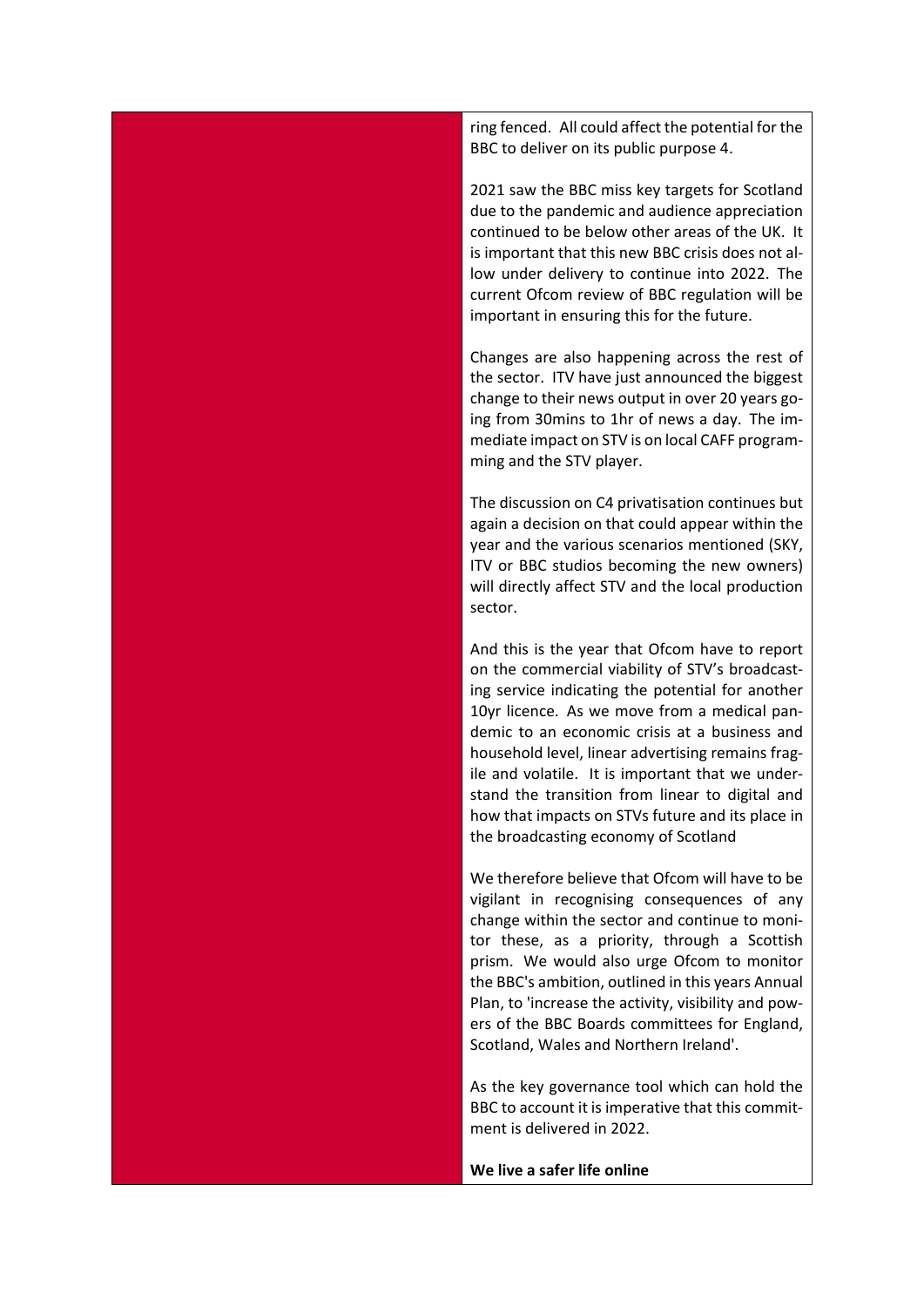ring fenced. All could affect the potential for the BBC to deliver on its public purpose 4.

2021 saw the BBC miss key targets for Scotland due to the pandemic and audience appreciation continued to be below other areas of the UK. It is important that this new BBC crisis does not allow under delivery to continue into 2022. The current Ofcom review of BBC regulation will be important in ensuring this for the future.

Changes are also happening across the rest of the sector. ITV have just announced the biggest change to their news output in over 20 years going from 30mins to 1hr of news a day. The immediate impact on STV is on local CAFF programming and the STV player.

The discussion on C4 privatisation continues but again a decision on that could appear within the year and the various scenarios mentioned (SKY, ITV or BBC studios becoming the new owners) will directly affect STV and the local production sector.

And this is the year that Ofcom have to report on the commercial viability of STV's broadcasting service indicating the potential for another 10yr licence. As we move from a medical pandemic to an economic crisis at a business and household level, linear advertising remains fragile and volatile. It is important that we understand the transition from linear to digital and how that impacts on STVs future and its place in the broadcasting economy of Scotland

We therefore believe that Ofcom will have to be vigilant in recognising consequences of any change within the sector and continue to monitor these, as a priority, through a Scottish prism. We would also urge Ofcom to monitor the BBC's ambition, outlined in this years Annual Plan, to 'increase the activity, visibility and powers of the BBC Boards committees for England, Scotland, Wales and Northern Ireland'.

As the key governance tool which can hold the BBC to account it is imperative that this commitment is delivered in 2022.

**We live a safer life online**